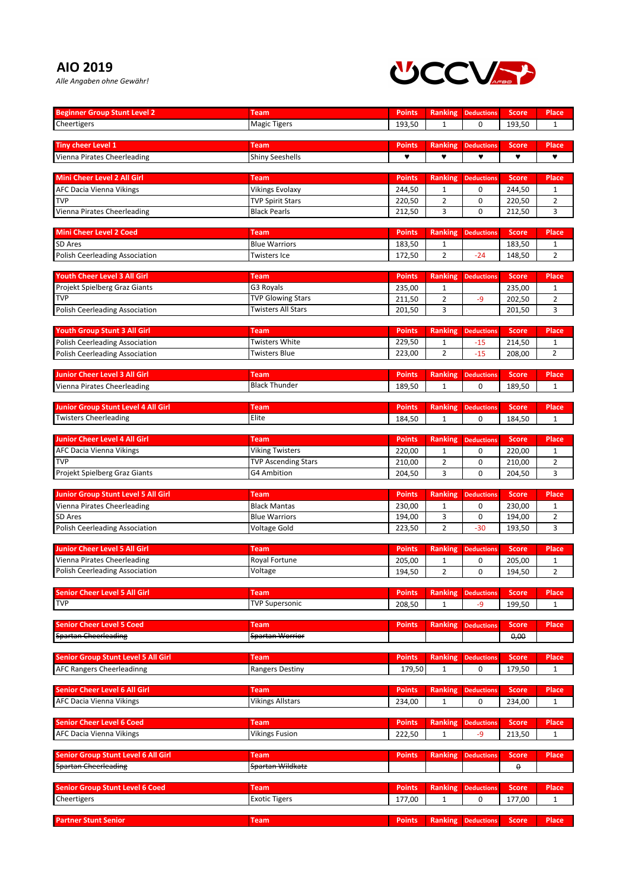## **AIO 2019**

*Alle Angaben ohne Gewähr!*



| <b>Beginner Group Stunt Level 2</b>         | Team                                  | <b>Points</b> | <b>Ranking</b> | <b>Deductions</b>         | <b>Score</b> | <b>Place</b>   |
|---------------------------------------------|---------------------------------------|---------------|----------------|---------------------------|--------------|----------------|
| Cheertigers                                 | <b>Magic Tigers</b>                   | 193,50        | 1              | $\mathbf 0$               | 193,50       | $\mathbf{1}$   |
|                                             |                                       |               |                |                           |              |                |
| <b>Tiny cheer Level 1</b>                   | Team                                  | <b>Points</b> | <b>Ranking</b> | <b>Deductions</b>         | <b>Score</b> | <b>Place</b>   |
| Vienna Pirates Cheerleading                 | <b>Shiny Seeshells</b>                | ۷             | ۷              | ۷                         | ۷            | ۷              |
|                                             |                                       |               |                |                           |              |                |
| Mini Cheer Level 2 All Girl                 | Team                                  | <b>Points</b> | <b>Ranking</b> | <b>Deductions</b>         | <b>Score</b> | <b>Place</b>   |
| AFC Dacia Vienna Vikings                    | <b>Vikings Evolaxy</b>                | 244,50        | 1              | 0                         | 244,50       | $\mathbf{1}$   |
| TVP                                         | <b>TVP Spirit Stars</b>               | 220,50        | $\overline{2}$ | 0                         | 220,50       | $\overline{2}$ |
| Vienna Pirates Cheerleading                 | <b>Black Pearls</b>                   | 212,50        | 3              | 0                         | 212,50       | 3              |
|                                             |                                       |               |                |                           |              |                |
| <b>Mini Cheer Level 2 Coed</b>              | Team                                  | <b>Points</b> | Ranking        | <b>Deductions</b>         | <b>Score</b> | <b>Place</b>   |
| SD Ares                                     | <b>Blue Warriors</b>                  | 183,50        | 1              |                           | 183,50       | 1              |
| <b>Polish Ceerleading Association</b>       | Twisters Ice                          | 172,50        | $\overline{2}$ | $-24$                     | 148,50       | $\overline{2}$ |
|                                             |                                       |               |                |                           |              |                |
| Youth Cheer Level 3 All Girl                | Team                                  | <b>Points</b> | <b>Ranking</b> | <b>Deductions</b>         | <b>Score</b> | <b>Place</b>   |
| Projekt Spielberg Graz Giants<br><b>TVP</b> | G3 Royals<br><b>TVP Glowing Stars</b> | 235,00        | $\mathbf{1}$   |                           | 235,00       | $\mathbf{1}$   |
|                                             | <b>Twisters All Stars</b>             | 211,50        | $\overline{2}$ | -9                        | 202,50       | $\overline{2}$ |
| Polish Ceerleading Association              |                                       | 201,50        | 3              |                           | 201,50       | 3              |
| <b>Youth Group Stunt 3 All Girl</b>         | <b>Team</b>                           | <b>Points</b> | <b>Ranking</b> | <b>Deductions</b>         | <b>Score</b> | <b>Place</b>   |
| <b>Polish Ceerleading Association</b>       | <b>Twisters White</b>                 | 229,50        | $\mathbf{1}$   | $-15$                     | 214,50       | $\mathbf{1}$   |
| Polish Ceerleading Association              | <b>Twisters Blue</b>                  | 223,00        | $\overline{2}$ | $-15$                     | 208,00       | 2              |
|                                             |                                       |               |                |                           |              |                |
| Junior Cheer Level 3 All Girl               | <b>Team</b>                           | <b>Points</b> | Ranking        | <b>Deductions</b>         | <b>Score</b> | <b>Place</b>   |
| Vienna Pirates Cheerleading                 | <b>Black Thunder</b>                  | 189,50        | $\mathbf{1}$   | 0                         | 189,50       | $\mathbf{1}$   |
|                                             |                                       |               |                |                           |              |                |
| <b>Junior Group Stunt Level 4 All Girl</b>  | <b>Team</b>                           | <b>Points</b> | <b>Ranking</b> | <b>Deductions</b>         | <b>Score</b> | <b>Place</b>   |
| <b>Twisters Cheerleading</b>                | Elite                                 | 184,50        | $\mathbf{1}$   | $\mathbf 0$               | 184,50       | $\mathbf{1}$   |
|                                             |                                       |               |                |                           |              |                |
| <b>Junior Cheer Level 4 All Girl</b>        | <b>Team</b>                           | <b>Points</b> | <b>Ranking</b> | <b>Deductions</b>         | <b>Score</b> | <b>Place</b>   |
| <b>AFC Dacia Vienna Vikings</b>             | <b>Viking Twisters</b>                | 220,00        | 1              | 0                         | 220,00       | 1              |
| <b>TVP</b>                                  | <b>TVP Ascending Stars</b>            | 210,00        | 2              | 0                         | 210,00       | $\overline{2}$ |
| Projekt Spielberg Graz Giants               | <b>G4 Ambition</b>                    | 204,50        | 3              | 0                         | 204,50       | 3              |
|                                             |                                       |               |                |                           |              |                |
| <b>Junior Group Stunt Level 5 All Girl</b>  | <b>Team</b>                           | <b>Points</b> | <b>Ranking</b> | <b>Deductions</b>         | <b>Score</b> | <b>Place</b>   |
| Vienna Pirates Cheerleading                 | <b>Black Mantas</b>                   | 230,00        | 1              | 0                         | 230,00       | $\mathbf{1}$   |
| SD Ares                                     | <b>Blue Warriors</b>                  | 194,00        | 3              | $\pmb{0}$                 | 194,00       | $\overline{2}$ |
| Polish Ceerleading Association              | Voltage Gold                          | 223,50        | 2              | $-30$                     | 193,50       | 3              |
|                                             |                                       |               |                |                           |              |                |
| <b>Junior Cheer Level 5 All Girl</b>        | Team                                  | <b>Points</b> | <b>Ranking</b> | <b>Deductions</b>         | <b>Score</b> | <b>Place</b>   |
| <b>Vienna Pirates Cheerleading</b>          | <b>Royal Fortune</b>                  | 205,00        | 1              | 0                         | 205,00       | 1              |
| Polish Ceerleading Association              | Voltage                               | 194,50        | $\overline{2}$ | $\pmb{0}$                 | 194,50       | $\overline{2}$ |
| <b>Senior Cheer Level 5 All Girl</b>        | <b>Team</b>                           | <b>Points</b> |                |                           | <b>Score</b> | <b>Place</b>   |
| <b>TVP</b>                                  | <b>TVP Supersonic</b>                 |               | <b>Ranking</b> | <b>Deductions</b>         |              |                |
|                                             |                                       | 208,50        | 1              | -9                        | 199,50       | $\mathbf{1}$   |
| <b>Senior Cheer Level 5 Coed</b>            | Team                                  | <b>Points</b> | <b>Ranking</b> | <b>Deductions</b>         | <b>Score</b> | Place          |
| Spartan Cheerleading                        | Spartan Worrior                       |               |                |                           | 0,00         |                |
|                                             |                                       |               |                |                           |              |                |
| <b>Senior Group Stunt Level 5 All Girl</b>  | Team                                  | <b>Points</b> | <b>Ranking</b> | <b>Deductions</b>         | <b>Score</b> | <b>Place</b>   |
| <b>AFC Rangers Cheerleadinng</b>            | <b>Rangers Destiny</b>                | 179,50        | 1              | 0                         | 179,50       | $\mathbf{1}$   |
|                                             |                                       |               |                |                           |              |                |
| <b>Senior Cheer Level 6 All Girl</b>        | Team                                  | <b>Points</b> | <b>Ranking</b> | <b>Deductions</b>         | <b>Score</b> | <b>Place</b>   |
| AFC Dacia Vienna Vikings                    | <b>Vikings Allstars</b>               | 234,00        | 1              | 0                         | 234,00       | 1              |
|                                             |                                       |               |                |                           |              |                |
| <b>Senior Cheer Level 6 Coed</b>            | <b>Team</b>                           | <b>Points</b> | <b>Ranking</b> | <b>Deductions</b>         | <b>Score</b> | Place          |
| <b>AFC Dacia Vienna Vikings</b>             | <b>Vikings Fusion</b>                 | 222,50        | 1              | -9                        | 213,50       | $\mathbf{1}$   |
|                                             |                                       |               |                |                           |              |                |
| <b>Senior Group Stunt Level 6 All Girl</b>  | Team                                  | <b>Points</b> | <b>Ranking</b> | <b>Deductions</b>         | <b>Score</b> | <b>Place</b>   |
| <b>Spartan Cheerleading</b>                 | Spartan Wildkatz                      |               |                |                           | $\theta$     |                |
|                                             |                                       |               |                |                           |              |                |
| <b>Senior Group Stunt Level 6 Coed</b>      | Team                                  | <b>Points</b> | <b>Ranking</b> | <b>Deductions</b>         | <b>Score</b> | <b>Place</b>   |
| Cheertigers                                 | <b>Exotic Tigers</b>                  | 177,00        | 1              | 0                         | 177,00       | $\mathbf{1}$   |
|                                             |                                       | <b>Points</b> |                | <b>Ranking Deductions</b> | <b>Score</b> | Place          |
| <b>Partner Stunt Senior</b>                 | <b>Team</b>                           |               |                |                           |              |                |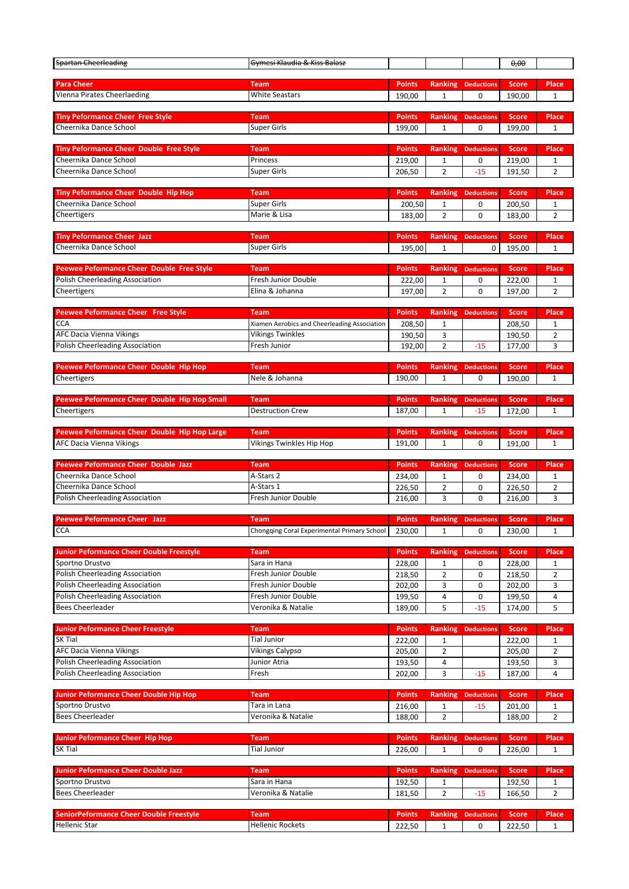| <b>Spartan Cheerleading</b>                                              | Gymesi Klaudia & Kiss Balasz                 |                         |                                |                            | 0,00                   |                              |
|--------------------------------------------------------------------------|----------------------------------------------|-------------------------|--------------------------------|----------------------------|------------------------|------------------------------|
| <b>Para Cheer</b>                                                        | <b>Team</b>                                  | <b>Points</b>           | <b>Ranking</b>                 | <b>Deductions</b>          | <b>Score</b>           | <b>Place</b>                 |
| Vienna Pirates Cheerlaeding                                              | <b>White Seastars</b>                        | 190,00                  | 1                              | 0                          | 190,00                 | 1                            |
|                                                                          |                                              |                         |                                |                            |                        |                              |
| <b>Tiny Peformance Cheer Free Style</b>                                  | <b>Team</b>                                  | <b>Points</b>           | <b>Ranking</b>                 | <b>Deductions</b>          | <b>Score</b>           | Place                        |
| Cheernika Dance School                                                   | <b>Super Girls</b>                           | 199,00                  | 1                              | 0                          | 199,00                 | 1                            |
|                                                                          | <b>Team</b>                                  | <b>Points</b>           |                                | <b>Deductions</b>          | <b>Score</b>           | <b>Place</b>                 |
| <b>Tiny Peformance Cheer Double Free Style</b><br>Cheernika Dance School | Princess                                     | 219,00                  | <b>Ranking</b><br>1            | 0                          | 219,00                 | $\mathbf{1}$                 |
| Cheernika Dance School                                                   | <b>Super Girls</b>                           | 206,50                  | $\overline{2}$                 | $-15$                      | 191,50                 | 2                            |
|                                                                          |                                              |                         |                                |                            |                        |                              |
| <b>Tiny Peformance Cheer Double Hip Hop</b>                              | <b>Team</b>                                  | <b>Points</b>           | Ranking                        | <b>Deductions</b>          | <b>Score</b>           | <b>Place</b>                 |
| Cheernika Dance School                                                   | <b>Super Girls</b>                           | 200,50                  | 1                              | 0                          | 200,50                 | 1                            |
| Cheertigers                                                              | Marie & Lisa                                 | 183,00                  | $\overline{2}$                 | $\mathbf 0$                | 183,00                 | $\overline{2}$               |
| <b>Tiny Peformance Cheer Jazz</b>                                        | <b>Team</b>                                  | <b>Points</b>           | <b>Ranking</b>                 | <b>Deductions</b>          | <b>Score</b>           | <b>Place</b>                 |
| Cheernika Dance School                                                   | <b>Super Girls</b>                           | 195,00                  | 1                              | 0                          | 195,00                 | $\mathbf{1}$                 |
|                                                                          |                                              |                         |                                |                            |                        |                              |
| <b>Peewee Peformance Cheer Double Free Style</b>                         | Team                                         | <b>Points</b>           | <b>Ranking</b>                 | <b>Deductions</b>          | <b>Score</b>           | Place                        |
| Polish Cheerleading Association                                          | <b>Fresh Junior Double</b>                   | 222,00                  | 1                              | 0                          | 222,00                 | 1                            |
| Cheertigers                                                              | Elina & Johanna                              | 197,00                  | $\overline{2}$                 | $\mathbf 0$                | 197,00                 | 2                            |
| <b>Peewee Peformance Cheer Free Style</b>                                | <b>Team</b>                                  | <b>Points</b>           | Ranking                        | <b>Deductions</b>          | <b>Score</b>           | <b>Place</b>                 |
| <b>CCA</b>                                                               | Xiamen Aerobics and Cheerleading Association | 208,50                  | 1                              |                            | 208,50                 | 1                            |
| AFC Dacia Vienna Vikings                                                 | <b>Vikings Twinkles</b>                      | 190,50                  | 3                              |                            | 190,50                 | 2                            |
| <b>Polish Cheerleading Association</b>                                   | Fresh Junior                                 | 192,00                  | $\overline{2}$                 | $-15$                      | 177,00                 | 3                            |
|                                                                          |                                              |                         |                                |                            |                        |                              |
| <b>Peewee Peformance Cheer Double Hip Hop</b>                            | Team<br>Nele & Johanna                       | <b>Points</b>           | <b>Ranking</b><br>1            | <b>Deductions</b><br>0     | <b>Score</b>           | Place                        |
| Cheertigers                                                              |                                              | 190,00                  |                                |                            | 190,00                 | 1                            |
| Peewee Peformance Cheer Double Hip Hop Small                             | <b>Team</b>                                  | <b>Points</b>           | <b>Ranking</b>                 | <b>Deductions</b>          | <b>Score</b>           | <b>Place</b>                 |
| Cheertigers                                                              | <b>Destruction Crew</b>                      | 187,00                  | $\mathbf{1}$                   | $-15$                      | 172,00                 | $\mathbf{1}$                 |
|                                                                          |                                              |                         |                                |                            |                        |                              |
| Peewee Peformance Cheer Double Hip Hop Large                             | Team                                         | <b>Points</b>           | <b>Ranking</b>                 | <b>Deductions</b>          | <b>Score</b>           | <b>Place</b>                 |
| <b>AFC Dacia Vienna Vikings</b>                                          | Vikings Twinkles Hip Hop                     | 191,00                  | 1                              | 0                          | 191,00                 | 1                            |
|                                                                          |                                              |                         |                                |                            |                        |                              |
|                                                                          | <b>Team</b>                                  | <b>Points</b>           |                                |                            |                        | <b>Place</b>                 |
| <b>Peewee Peformance Cheer Double Jazz</b><br>Cheernika Dance School     | A-Stars 2                                    | 234,00                  | <b>Ranking</b><br>1            | <b>Deductions</b><br>0     | <b>Score</b><br>234,00 | 1                            |
| Cheernika Dance School                                                   | A-Stars 1                                    | 226,50                  | 2                              | 0                          | 226,50                 | $\overline{2}$               |
| Polish Cheerleading Association                                          | Fresh Junior Double                          | 216,00                  | 3                              | 0                          | 216,00                 | 3                            |
|                                                                          |                                              |                         |                                |                            |                        |                              |
| <b>Peewee Peformance Cheer Jazz</b>                                      | Team                                         | <b>Points</b>           | <b>Ranking</b>                 | <b>Deductions</b>          | <b>Score</b>           | <b>Place</b>                 |
| <b>CCA</b>                                                               | Chongqing Coral Experimental Primary School  | 230,00                  | 1                              | 0                          | 230,00                 | 1                            |
| <b>Junior Peformance Cheer Double Freestyle</b>                          | <b>Team</b>                                  | <b>Points</b>           | <b>Ranking</b>                 | <b>Deductions</b>          | <b>Score</b>           | <b>Place</b>                 |
| Sportno Drustvo                                                          | Sara in Hana                                 | 228,00                  | 1                              | 0                          | 228,00                 | 1                            |
| <b>Polish Cheerleading Association</b>                                   | Fresh Junior Double                          | 218,50                  | $\overline{2}$                 | $\mathbf 0$                | 218,50                 | $\overline{2}$               |
| Polish Cheerleading Association                                          | <b>Fresh Junior Double</b>                   | 202,00                  | 3                              | 0                          | 202,00                 | 3                            |
| Polish Cheerleading Association                                          | Fresh Junior Double                          | 199,50                  | 4                              | 0                          | 199,50                 | 4                            |
| <b>Bees Cheerleader</b>                                                  | Veronika & Natalie                           | 189,00                  | 5                              | $-15$                      | 174,00                 | 5                            |
| <b>Junior Peformance Cheer Freestyle</b>                                 | <b>Team</b>                                  | <b>Points</b>           | <b>Ranking</b>                 | <b>Deductions</b>          | <b>Score</b>           | <b>Place</b>                 |
| SK Tial                                                                  | <b>Tial Junior</b>                           | 222,00                  | 1                              |                            | 222,00                 | 1                            |
| AFC Dacia Vienna Vikings                                                 | <b>Vikings Calypso</b>                       | 205,00                  | $\overline{2}$                 |                            | 205,00                 | $\overline{2}$               |
| Polish Cheerleading Association                                          | Junior Atria                                 | 193,50                  | 4                              |                            | 193,50                 | 3                            |
| Polish Cheerleading Association                                          | Fresh                                        | 202,00                  | 3                              | $-15$                      | 187,00                 | 4                            |
|                                                                          |                                              |                         |                                |                            |                        |                              |
| <b>Junior Peformance Cheer Double Hip Hop</b><br>Sportno Drustvo         | <b>Team</b><br>Tara in Lana                  | <b>Points</b><br>216,00 | <b>Ranking</b><br>1            | <b>Deductions</b><br>$-15$ | <b>Score</b><br>201,00 | <b>Place</b><br>1            |
| <b>Bees Cheerleader</b>                                                  | Veronika & Natalie                           | 188,00                  | $\overline{2}$                 |                            | 188,00                 | $\overline{2}$               |
|                                                                          |                                              |                         |                                |                            |                        |                              |
| <b>Junior Peformance Cheer Hip Hop</b>                                   | <b>Team</b>                                  | <b>Points</b>           | <b>Ranking</b>                 | <b>Deductions</b>          | <b>Score</b>           | <b>Place</b>                 |
| SK Tial                                                                  | <b>Tial Junior</b>                           | 226,00                  | $\mathbf{1}$                   | 0                          | 226,00                 | $\mathbf{1}$                 |
| <b>Junior Peformance Cheer Double Jazz</b>                               | <b>Team</b>                                  | <b>Points</b>           | <b>Ranking</b>                 | <b>Deductions</b>          | <b>Score</b>           | <b>Place</b>                 |
| Sportno Drustvo                                                          | Sara in Hana                                 | 192,50                  | 1                              |                            | 192,50                 | 1                            |
| <b>Bees Cheerleader</b>                                                  | Veronika & Natalie                           | 181,50                  | $\overline{2}$                 | $-15$                      | 166,50                 | $\overline{2}$               |
|                                                                          |                                              |                         |                                |                            |                        |                              |
| <b>SeniorPeformance Cheer Double Freestyle</b><br><b>Hellenic Star</b>   | <b>Team</b><br><b>Hellenic Rockets</b>       | <b>Points</b><br>222,50 | <b>Ranking</b><br>$\mathbf{1}$ | <b>Deductions</b><br>0     | <b>Score</b><br>222,50 | <b>Place</b><br>$\mathbf{1}$ |